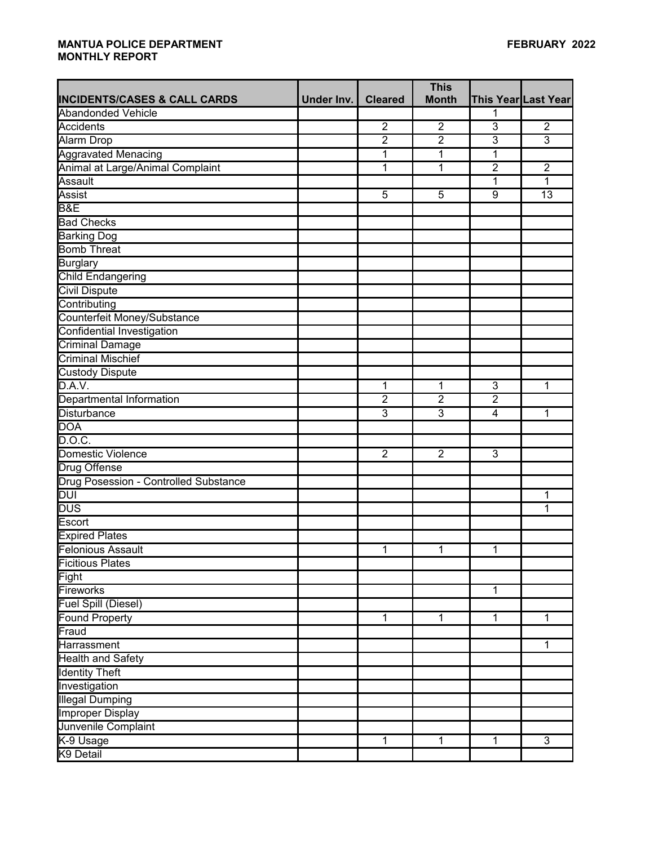|                                         |            |                | <b>This</b>    |                         |                     |
|-----------------------------------------|------------|----------------|----------------|-------------------------|---------------------|
| <b>INCIDENTS/CASES &amp; CALL CARDS</b> | Under Inv. | <b>Cleared</b> | <b>Month</b>   |                         | This Year Last Year |
| <b>Abandonded Vehicle</b>               |            |                |                | 1                       |                     |
| <b>Accidents</b>                        |            | $\overline{2}$ | $\overline{2}$ | $\overline{3}$          | $\overline{2}$      |
| Alarm Drop                              |            | $\overline{2}$ | $\overline{2}$ | $\overline{3}$          | $\overline{3}$      |
| <b>Aggravated Menacing</b>              |            | 1              | 1              | 1                       |                     |
| Animal at Large/Animal Complaint        |            | 1              | 1              | $\overline{2}$          | $\overline{2}$      |
| Assault                                 |            |                |                | 1                       | 1                   |
| <b>Assist</b>                           |            | 5              | 5              | 9                       | 13                  |
| <b>B&amp;E</b>                          |            |                |                |                         |                     |
| <b>Bad Checks</b>                       |            |                |                |                         |                     |
| <b>Barking Dog</b>                      |            |                |                |                         |                     |
| <b>Bomb Threat</b>                      |            |                |                |                         |                     |
| Burglary                                |            |                |                |                         |                     |
| <b>Child Endangering</b>                |            |                |                |                         |                     |
| <b>Civil Dispute</b>                    |            |                |                |                         |                     |
| Contributing                            |            |                |                |                         |                     |
| Counterfeit Money/Substance             |            |                |                |                         |                     |
| Confidential Investigation              |            |                |                |                         |                     |
| <b>Criminal Damage</b>                  |            |                |                |                         |                     |
| <b>Criminal Mischief</b>                |            |                |                |                         |                     |
| Custody Dispute                         |            |                |                |                         |                     |
| D.A.V.                                  |            | 1              | 1              | $\overline{3}$          | 1                   |
| Departmental Information                |            | $\overline{2}$ | $\overline{2}$ | $\overline{2}$          |                     |
| <b>Disturbance</b>                      |            | 3              | $\overline{3}$ | $\overline{\mathbf{4}}$ | 1                   |
| <b>DOA</b>                              |            |                |                |                         |                     |
| D.O.C.                                  |            |                |                |                         |                     |
| Domestic Violence                       |            | $\overline{2}$ | $\overline{2}$ | $\overline{3}$          |                     |
| <b>Drug Offense</b>                     |            |                |                |                         |                     |
| Drug Posession - Controlled Substance   |            |                |                |                         |                     |
| DUI                                     |            |                |                |                         | 1                   |
| <b>DUS</b>                              |            |                |                |                         | 1                   |
| Escort                                  |            |                |                |                         |                     |
| <b>Expired Plates</b>                   |            |                |                |                         |                     |
| <b>Felonious Assault</b>                |            | 1              | 1              | 1                       |                     |
| <b>Ficitious Plates</b>                 |            |                |                |                         |                     |
| Fight                                   |            |                |                |                         |                     |
| Fireworks                               |            |                |                | $\mathbf{1}$            |                     |
| <b>Fuel Spill (Diesel)</b>              |            |                |                |                         |                     |
| <b>Found Property</b>                   |            | 1              | $\mathbf{1}$   | $\mathbf{1}$            | 1                   |
| Fraud                                   |            |                |                |                         |                     |
| Harrassment                             |            |                |                |                         | 1                   |
| <b>Health and Safety</b>                |            |                |                |                         |                     |
| <b>Identity Theft</b>                   |            |                |                |                         |                     |
| Investigation                           |            |                |                |                         |                     |
| <b>Illegal Dumping</b>                  |            |                |                |                         |                     |
| <b>Improper Display</b>                 |            |                |                |                         |                     |
| Junvenile Complaint                     |            |                |                |                         |                     |
| K-9 Usage                               |            | $\mathbf{1}$   | $\mathbf 1$    | $\mathbf{1}$            | $\overline{3}$      |
| K9 Detail                               |            |                |                |                         |                     |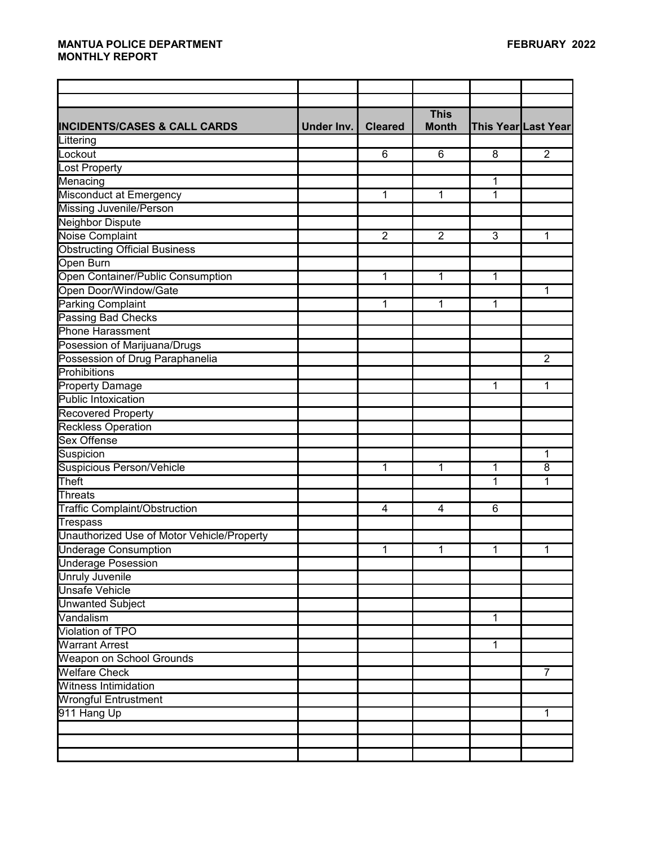|                                            |            |                | <b>This</b>    |             |                     |
|--------------------------------------------|------------|----------------|----------------|-------------|---------------------|
| <b>INCIDENTS/CASES &amp; CALL CARDS</b>    | Under Inv. | <b>Cleared</b> | <b>Month</b>   |             | This Year Last Year |
| Littering                                  |            |                |                |             |                     |
| Lockout                                    |            | 6              | 6              | 8           | $\overline{2}$      |
| Lost Property                              |            |                |                |             |                     |
| Menacing                                   |            |                |                | 1           |                     |
| Misconduct at Emergency                    |            | 1              | 1              | 1           |                     |
| Missing Juvenile/Person                    |            |                |                |             |                     |
| <b>Neighbor Dispute</b>                    |            |                |                |             |                     |
| Noise Complaint                            |            | $\overline{2}$ | $\overline{2}$ | 3           | 1                   |
| <b>Obstructing Official Business</b>       |            |                |                |             |                     |
| Open Burn                                  |            |                |                |             |                     |
| Open Container/Public Consumption          |            | $\mathbf{1}$   | 1              | 1           |                     |
| Open Door/Window/Gate                      |            |                |                |             | 1                   |
| <b>Parking Complaint</b>                   |            | 1              | 1              | 1           |                     |
| <b>Passing Bad Checks</b>                  |            |                |                |             |                     |
| <b>Phone Harassment</b>                    |            |                |                |             |                     |
| Posession of Marijuana/Drugs               |            |                |                |             |                     |
| Possession of Drug Paraphanelia            |            |                |                |             | $\overline{2}$      |
| Prohibitions                               |            |                |                |             |                     |
| <b>Property Damage</b>                     |            |                |                | 1           | 1                   |
| Public Intoxication                        |            |                |                |             |                     |
| <b>Recovered Property</b>                  |            |                |                |             |                     |
| <b>Reckless Operation</b>                  |            |                |                |             |                     |
| <b>Sex Offense</b>                         |            |                |                |             |                     |
| Suspicion                                  |            |                |                |             | 1                   |
| Suspicious Person/Vehicle                  |            | 1              | 1              | 1           | 8                   |
| Theft                                      |            |                |                | 1           | 1                   |
| <b>Threats</b>                             |            |                |                |             |                     |
| <b>Traffic Complaint/Obstruction</b>       |            | 4              | 4              | 6           |                     |
| <b>Trespass</b>                            |            |                |                |             |                     |
| Unauthorized Use of Motor Vehicle/Property |            |                |                |             |                     |
| <b>Underage Consumption</b>                |            | 1              | 1              | 1           | 1                   |
| Underage Posession                         |            |                |                |             |                     |
| <b>Unruly Juvenile</b>                     |            |                |                |             |                     |
| <b>Unsafe Vehicle</b>                      |            |                |                |             |                     |
| <b>Unwanted Subject</b>                    |            |                |                |             |                     |
| Vandalism                                  |            |                |                | $\mathbf 1$ |                     |
| Violation of TPO                           |            |                |                |             |                     |
| <b>Warrant Arrest</b>                      |            |                |                | 1           |                     |
| Weapon on School Grounds                   |            |                |                |             |                     |
| <b>Welfare Check</b>                       |            |                |                |             | $\overline{7}$      |
| <b>Witness Intimidation</b>                |            |                |                |             |                     |
| <b>Wrongful Entrustment</b>                |            |                |                |             |                     |
| 911 Hang Up                                |            |                |                |             | 1                   |
|                                            |            |                |                |             |                     |
|                                            |            |                |                |             |                     |
|                                            |            |                |                |             |                     |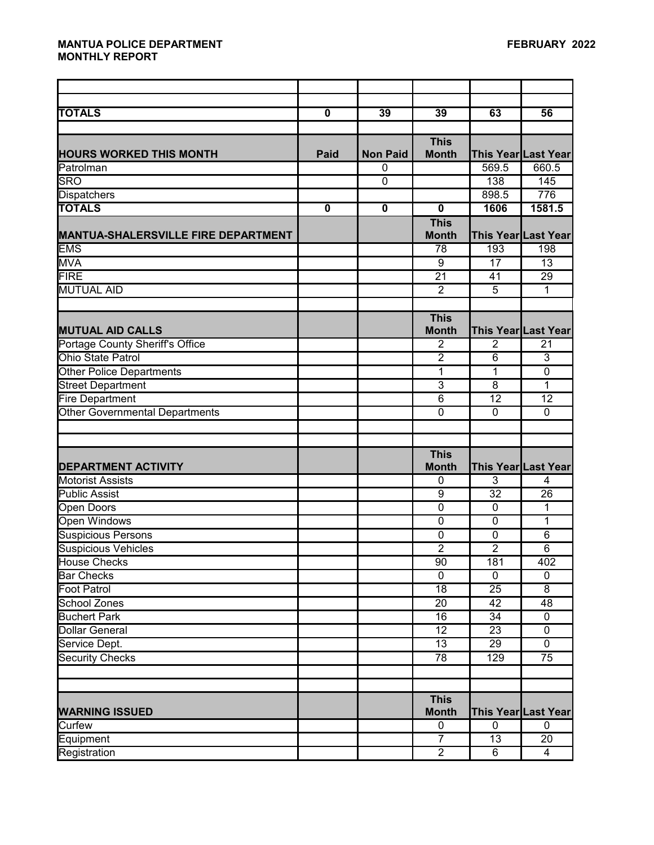| <b>TOTALS</b>                              | $\mathbf 0$ | 39              | 39                          | 63              | 56                  |
|--------------------------------------------|-------------|-----------------|-----------------------------|-----------------|---------------------|
|                                            |             |                 | <b>This</b>                 |                 |                     |
| <b>HOURS WORKED THIS MONTH</b>             | <b>Paid</b> | <b>Non Paid</b> | <b>Month</b>                |                 | This Year Last Year |
| Patrolman                                  |             | $\mathbf{0}$    |                             | 569.5           | 660.5               |
| <b>SRO</b>                                 |             | $\overline{0}$  |                             | 138             | 145                 |
| <b>Dispatchers</b>                         |             |                 |                             | 898.5           | 776                 |
| <b>TOTALS</b>                              | $\mathbf 0$ | $\mathbf 0$     | $\mathbf 0$                 | 1606            | 1581.5              |
|                                            |             |                 | <b>This</b>                 |                 |                     |
| <b>MANTUA-SHALERSVILLE FIRE DEPARTMENT</b> |             |                 | <b>Month</b>                |                 | This Year Last Year |
| <b>EMS</b>                                 |             |                 | 78                          | 193             | 198                 |
| <b>MVA</b>                                 |             |                 | 9                           | 17              | 13                  |
| <b>FIRE</b>                                |             |                 | $\overline{21}$             | 41              | 29                  |
| <b>MUTUAL AID</b>                          |             |                 | $\overline{2}$              | $\overline{5}$  | 1                   |
|                                            |             |                 |                             |                 |                     |
|                                            |             |                 | <b>This</b>                 |                 |                     |
| <b>MUTUAL AID CALLS</b>                    |             |                 | <b>Month</b>                |                 | This Year Last Year |
| Portage County Sheriff's Office            |             |                 | $\overline{2}$              | $\overline{2}$  | 21                  |
| Ohio State Patrol                          |             |                 | $\overline{2}$              | 6               | 3                   |
| <b>Other Police Departments</b>            |             |                 | 1                           | 1               | $\mathbf 0$         |
| <b>Street Department</b>                   |             |                 | $\overline{3}$              | $\overline{8}$  | 1                   |
| <b>Fire Department</b>                     |             |                 | $\overline{6}$              | $\overline{12}$ | 12                  |
| <b>Other Governmental Departments</b>      |             |                 | $\overline{0}$              | $\overline{0}$  | $\mathbf 0$         |
|                                            |             |                 |                             |                 |                     |
|                                            |             |                 |                             |                 |                     |
|                                            |             |                 | <b>This</b>                 |                 |                     |
| <b>DEPARTMENT ACTIVITY</b>                 |             |                 | <b>Month</b>                |                 | This Year Last Year |
| <b>Motorist Assists</b>                    |             |                 | $\mathbf{0}$                | 3               | 4                   |
| <b>Public Assist</b>                       |             |                 | 9                           | 32              | 26                  |
| <b>Open Doors</b>                          |             |                 | $\overline{0}$              | $\mathbf 0$     | 1                   |
| <b>Open Windows</b>                        |             |                 | $\overline{0}$              | $\overline{0}$  | 1                   |
| <b>Suspicious Persons</b>                  |             |                 | $\mathbf 0$                 | $\mathbf 0$     | 6                   |
| <b>Suspicious Vehicles</b>                 |             |                 | $\overline{2}$              | $\overline{2}$  | $\overline{6}$      |
| House Checks                               |             |                 | 90                          | 181             | 402                 |
| <b>Bar Checks</b>                          |             |                 | $\overline{0}$              | $\overline{0}$  | $\overline{0}$      |
| <b>Foot Patrol</b>                         |             |                 | $\overline{18}$             | $\overline{25}$ | $\overline{8}$      |
| <b>School Zones</b>                        |             |                 | $\overline{20}$             | 42              | 48                  |
| <b>Buchert Park</b>                        |             |                 | 16                          | 34              | $\mathbf 0$         |
| <b>Dollar General</b>                      |             |                 | 12                          | 23              | 0                   |
| Service Dept.                              |             |                 | 13                          | 29              | 0                   |
| <b>Security Checks</b>                     |             |                 | 78                          | 129             | 75                  |
|                                            |             |                 |                             |                 |                     |
|                                            |             |                 |                             |                 |                     |
| <b>WARNING ISSUED</b>                      |             |                 | <b>This</b><br><b>Month</b> |                 | This Year Last Year |
| Curfew                                     |             |                 | $\pmb{0}$                   | $\overline{0}$  | $\mathbf 0$         |
|                                            |             |                 | $\overline{7}$              | 13              | 20                  |
| Equipment<br>Registration                  |             |                 | $\overline{2}$              | $\overline{6}$  | $\overline{4}$      |
|                                            |             |                 |                             |                 |                     |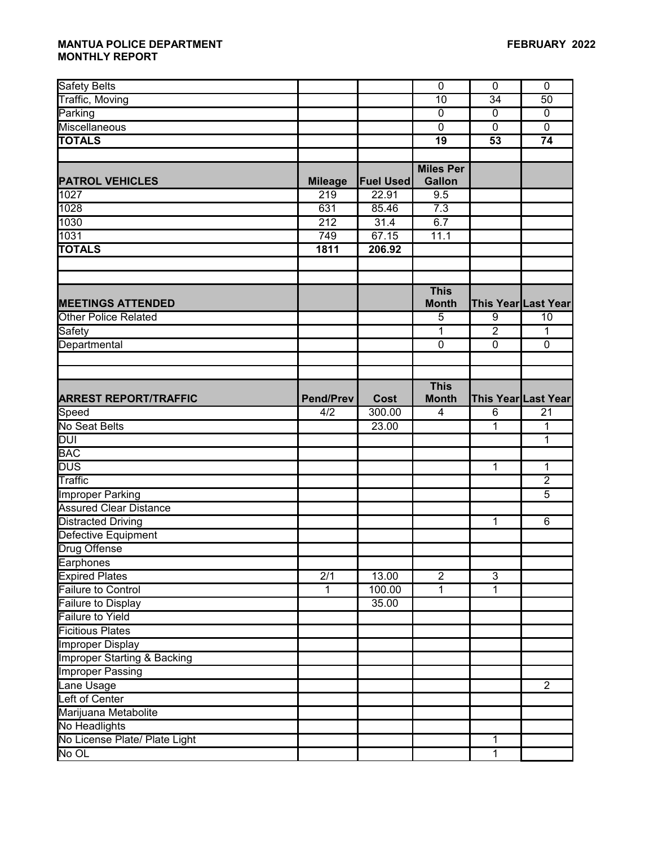| Safety Belts                           |                  |                  | $\mathbf 0$      | $\mathbf 0$     | $\mathbf 0$         |
|----------------------------------------|------------------|------------------|------------------|-----------------|---------------------|
| Traffic, Moving                        |                  |                  | 10               | 34              | 50                  |
| Parking                                |                  |                  | $\mathbf 0$      | $\mathbf 0$     | $\mathbf 0$         |
| Miscellaneous                          |                  |                  | $\mathbf 0$      | $\mathbf 0$     | $\mathbf 0$         |
| <b>TOTALS</b>                          |                  |                  | $\overline{19}$  | 53              | $\overline{74}$     |
|                                        |                  |                  |                  |                 |                     |
|                                        |                  |                  | <b>Miles Per</b> |                 |                     |
| <b>PATROL VEHICLES</b>                 | <b>Mileage</b>   | <b>Fuel Used</b> | <b>Gallon</b>    |                 |                     |
| 1027                                   | 219              | 22.91            | 9.5              |                 |                     |
| 1028                                   | 631              | 85.46            | 7.3              |                 |                     |
| 1030                                   | $\overline{212}$ | 31.4             | 6.7              |                 |                     |
| 1031                                   | 749              | 67.15            | 11.1             |                 |                     |
| <b>TOTALS</b>                          | 1811             | 206.92           |                  |                 |                     |
|                                        |                  |                  |                  |                 |                     |
|                                        |                  |                  |                  |                 |                     |
|                                        |                  |                  | <b>This</b>      |                 |                     |
| <b>MEETINGS ATTENDED</b>               |                  |                  | <b>Month</b>     |                 | This Year Last Year |
| <b>Other Police Related</b>            |                  |                  | 5                | 9               | 10                  |
| Safety                                 |                  |                  | 1                | $\overline{2}$  | $\mathbf 1$         |
| Departmental                           |                  |                  | 0                | $\mathbf 0$     | $\mathbf 0$         |
|                                        |                  |                  |                  |                 |                     |
|                                        |                  |                  |                  |                 |                     |
|                                        |                  |                  | <b>This</b>      |                 |                     |
| <b>ARREST REPORT/TRAFFIC</b>           | <b>Pend/Prev</b> | <b>Cost</b>      | <b>Month</b>     |                 | This Year Last Year |
| Speed                                  | 4/2              | 300.00           | $\overline{4}$   | $6\overline{6}$ | 21                  |
| <b>No Seat Belts</b>                   |                  | 23.00            |                  | 1               | 1                   |
| <b>DUI</b>                             |                  |                  |                  |                 | 1                   |
| <b>BAC</b>                             |                  |                  |                  |                 |                     |
| <b>DUS</b>                             |                  |                  |                  | $\mathbf{1}$    | 1                   |
| Traffic                                |                  |                  |                  |                 | $\overline{2}$      |
| Improper Parking                       |                  |                  |                  |                 | $\overline{5}$      |
| <b>Assured Clear Distance</b>          |                  |                  |                  |                 |                     |
| <b>Distracted Driving</b>              |                  |                  |                  | $\mathbf{1}$    | 6                   |
| Defective Equipment                    |                  |                  |                  |                 |                     |
| <b>Drug Offense</b>                    |                  |                  |                  |                 |                     |
| Earphones                              |                  |                  |                  |                 |                     |
| <b>Expired Plates</b>                  | $\overline{2/1}$ | 13.00            | $\overline{2}$   | $\overline{3}$  |                     |
| <b>Failure to Control</b>              | $\overline{1}$   | 100.00           | 1                | 1               |                     |
| Failure to Display                     |                  | 35.00            |                  |                 |                     |
| <b>Failure to Yield</b>                |                  |                  |                  |                 |                     |
| <b>Ficitious Plates</b>                |                  |                  |                  |                 |                     |
| <b>Improper Display</b>                |                  |                  |                  |                 |                     |
| <b>Improper Starting &amp; Backing</b> |                  |                  |                  |                 |                     |
| <b>Improper Passing</b>                |                  |                  |                  |                 |                     |
| Lane Usage                             |                  |                  |                  |                 | $\overline{2}$      |
| Left of Center                         |                  |                  |                  |                 |                     |
| Marijuana Metabolite                   |                  |                  |                  |                 |                     |
| No Headlights                          |                  |                  |                  |                 |                     |
|                                        |                  |                  |                  |                 |                     |
| No License Plate/ Plate Light<br>No OL |                  |                  |                  | 1               |                     |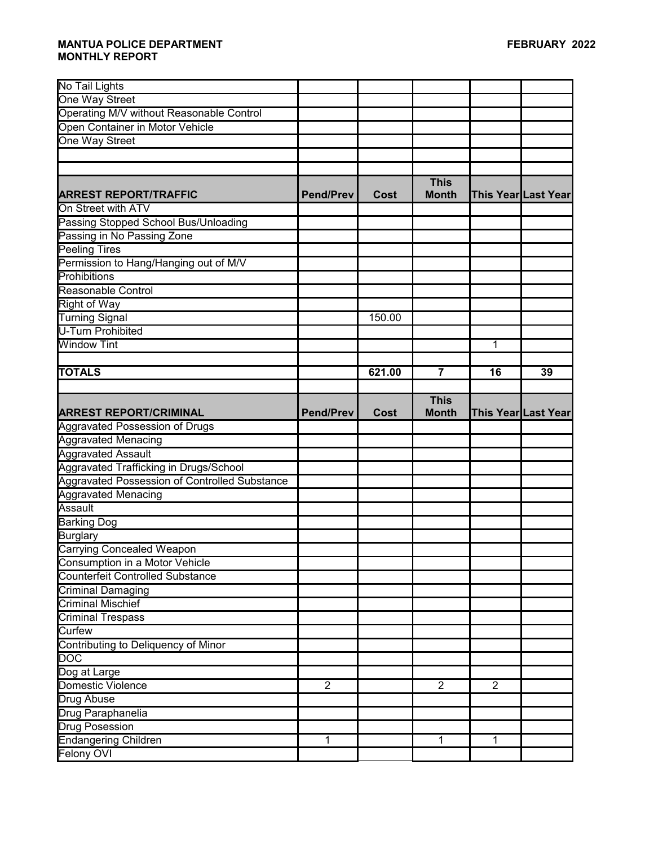| No Tail Lights                                |                  |        |                |                |                     |
|-----------------------------------------------|------------------|--------|----------------|----------------|---------------------|
| One Way Street                                |                  |        |                |                |                     |
| Operating M/V without Reasonable Control      |                  |        |                |                |                     |
| Open Container in Motor Vehicle               |                  |        |                |                |                     |
| One Way Street                                |                  |        |                |                |                     |
|                                               |                  |        |                |                |                     |
|                                               |                  |        |                |                |                     |
|                                               |                  |        | <b>This</b>    |                |                     |
| <b>ARREST REPORT/TRAFFIC</b>                  | <b>Pend/Prev</b> | Cost   | <b>Month</b>   |                | This Year Last Year |
| On Street with ATV                            |                  |        |                |                |                     |
| Passing Stopped School Bus/Unloading          |                  |        |                |                |                     |
| Passing in No Passing Zone                    |                  |        |                |                |                     |
| <b>Peeling Tires</b>                          |                  |        |                |                |                     |
| Permission to Hang/Hanging out of M/V         |                  |        |                |                |                     |
| Prohibitions                                  |                  |        |                |                |                     |
| Reasonable Control                            |                  |        |                |                |                     |
| Right of Way                                  |                  |        |                |                |                     |
| <b>Turning Signal</b>                         |                  | 150.00 |                |                |                     |
| U-Turn Prohibited                             |                  |        |                |                |                     |
| <b>Window Tint</b>                            |                  |        |                | 1              |                     |
|                                               |                  |        |                |                |                     |
| <b>TOTALS</b>                                 |                  | 621.00 | $\overline{7}$ | 16             | 39                  |
|                                               |                  |        |                |                |                     |
|                                               |                  |        | <b>This</b>    |                |                     |
| <b>ARREST REPORT/CRIMINAL</b>                 | <b>Pend/Prev</b> | Cost   | <b>Month</b>   |                | This Year Last Year |
| <b>Aggravated Possession of Drugs</b>         |                  |        |                |                |                     |
|                                               |                  |        |                |                |                     |
| <b>Aggravated Menacing</b>                    |                  |        |                |                |                     |
| <b>Aggravated Assault</b>                     |                  |        |                |                |                     |
| Aggravated Trafficking in Drugs/School        |                  |        |                |                |                     |
| Aggravated Possession of Controlled Substance |                  |        |                |                |                     |
| <b>Aggravated Menacing</b>                    |                  |        |                |                |                     |
| Assault                                       |                  |        |                |                |                     |
| <b>Barking Dog</b>                            |                  |        |                |                |                     |
| <b>Burglary</b>                               |                  |        |                |                |                     |
| <b>Carrying Concealed Weapon</b>              |                  |        |                |                |                     |
| Consumption in a Motor Vehicle                |                  |        |                |                |                     |
| <b>Counterfeit Controlled Substance</b>       |                  |        |                |                |                     |
| <b>Criminal Damaging</b>                      |                  |        |                |                |                     |
| <b>Criminal Mischief</b>                      |                  |        |                |                |                     |
| <b>Criminal Trespass</b>                      |                  |        |                |                |                     |
| Curfew                                        |                  |        |                |                |                     |
| Contributing to Deliquency of Minor           |                  |        |                |                |                     |
| $\overline{DOC}$                              |                  |        |                |                |                     |
| Dog at Large                                  |                  |        |                |                |                     |
| Domestic Violence                             | $\overline{2}$   |        | $\overline{2}$ | $\overline{2}$ |                     |
| <b>Drug Abuse</b>                             |                  |        |                |                |                     |
| Drug Paraphanelia                             |                  |        |                |                |                     |
| <b>Drug Posession</b>                         |                  |        |                |                |                     |
| <b>Endangering Children</b>                   | 1                |        | $\mathbf{1}$   | 1              |                     |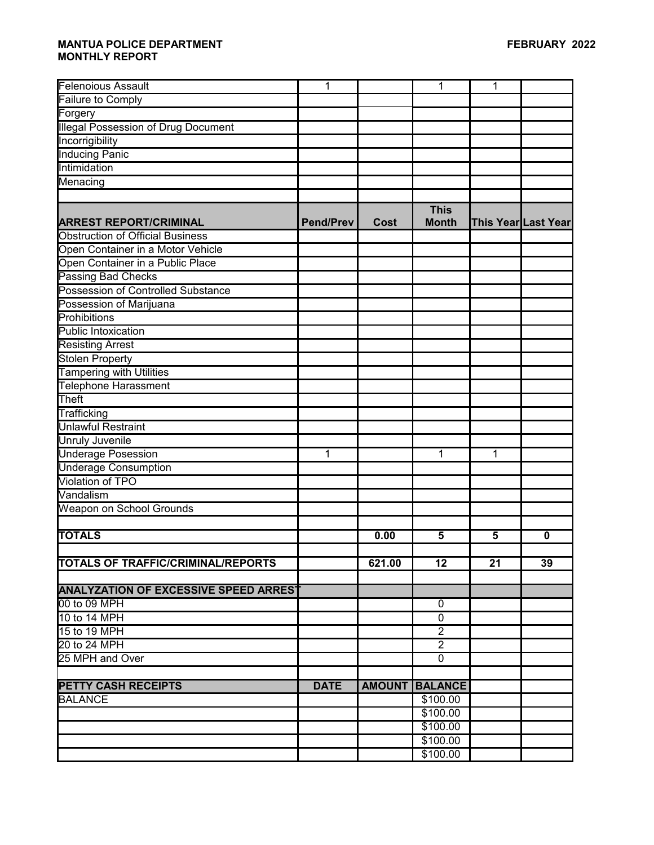| <b>Felenoious Assault</b>                    | 1                |               | 1                           | 1  |                     |
|----------------------------------------------|------------------|---------------|-----------------------------|----|---------------------|
| Failure to Comply                            |                  |               |                             |    |                     |
| Forgery                                      |                  |               |                             |    |                     |
| <b>Illegal Possession of Drug Document</b>   |                  |               |                             |    |                     |
| Incorrigibility                              |                  |               |                             |    |                     |
| <b>Inducing Panic</b>                        |                  |               |                             |    |                     |
| Intimidation                                 |                  |               |                             |    |                     |
| Menacing                                     |                  |               |                             |    |                     |
|                                              |                  |               |                             |    |                     |
| <b>ARREST REPORT/CRIMINAL</b>                | <b>Pend/Prev</b> | <b>Cost</b>   | <b>This</b><br><b>Month</b> |    | This Year Last Year |
| <b>Obstruction of Official Business</b>      |                  |               |                             |    |                     |
| Open Container in a Motor Vehicle            |                  |               |                             |    |                     |
| Open Container in a Public Place             |                  |               |                             |    |                     |
| Passing Bad Checks                           |                  |               |                             |    |                     |
| Possession of Controlled Substance           |                  |               |                             |    |                     |
| Possession of Marijuana                      |                  |               |                             |    |                     |
| Prohibitions                                 |                  |               |                             |    |                     |
| Public Intoxication                          |                  |               |                             |    |                     |
| <b>Resisting Arrest</b>                      |                  |               |                             |    |                     |
| <b>Stolen Property</b>                       |                  |               |                             |    |                     |
| <b>Tampering with Utilities</b>              |                  |               |                             |    |                     |
| <b>Telephone Harassment</b>                  |                  |               |                             |    |                     |
| Theft                                        |                  |               |                             |    |                     |
| Trafficking                                  |                  |               |                             |    |                     |
| <b>Unlawful Restraint</b>                    |                  |               |                             |    |                     |
| <b>Unruly Juvenile</b>                       |                  |               |                             |    |                     |
| <b>Underage Posession</b>                    | 1                |               | 1                           | 1  |                     |
| <b>Underage Consumption</b>                  |                  |               |                             |    |                     |
| Violation of TPO                             |                  |               |                             |    |                     |
| Vandalism                                    |                  |               |                             |    |                     |
| Weapon on School Grounds                     |                  |               |                             |    |                     |
|                                              |                  |               |                             |    |                     |
| <b>TOTALS</b>                                |                  | 0.00          | 5                           | 5  | 0                   |
|                                              |                  |               |                             |    |                     |
| <b>TOTALS OF TRAFFIC/CRIMINAL/REPORTS</b>    |                  | 621.00        | 12                          | 21 | 39                  |
|                                              |                  |               |                             |    |                     |
| <b>ANALYZATION OF EXCESSIVE SPEED ARREST</b> |                  |               |                             |    |                     |
| 00 to 09 MPH                                 |                  |               | 0                           |    |                     |
| 10 to 14 MPH                                 |                  |               | $\mathbf 0$                 |    |                     |
| 15 to 19 MPH                                 |                  |               | $\overline{2}$              |    |                     |
| 20 to 24 MPH                                 |                  |               | $\overline{2}$              |    |                     |
| 25 MPH and Over                              |                  |               | $\mathbf{0}$                |    |                     |
|                                              |                  |               |                             |    |                     |
| <b>PETTY CASH RECEIPTS</b>                   | <b>DATE</b>      | <b>AMOUNT</b> | <b>BALANCE</b>              |    |                     |
| <b>BALANCE</b>                               |                  |               | \$100.00                    |    |                     |
|                                              |                  |               | \$100.00                    |    |                     |
|                                              |                  |               | \$100.00                    |    |                     |
|                                              |                  |               | \$100.00                    |    |                     |
|                                              |                  |               | \$100.00                    |    |                     |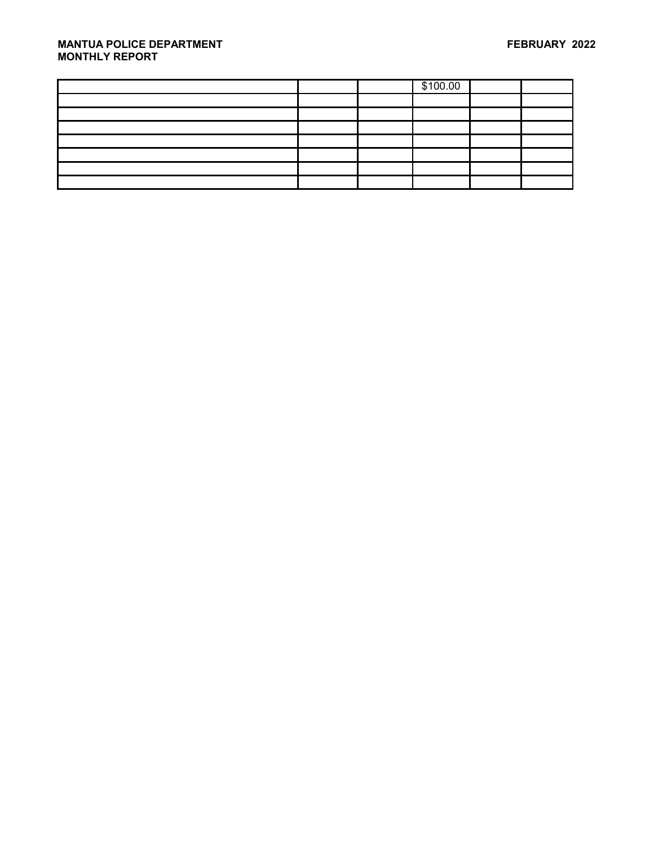|  | \$100.00 |  |
|--|----------|--|
|  |          |  |
|  |          |  |
|  |          |  |
|  |          |  |
|  |          |  |
|  |          |  |
|  |          |  |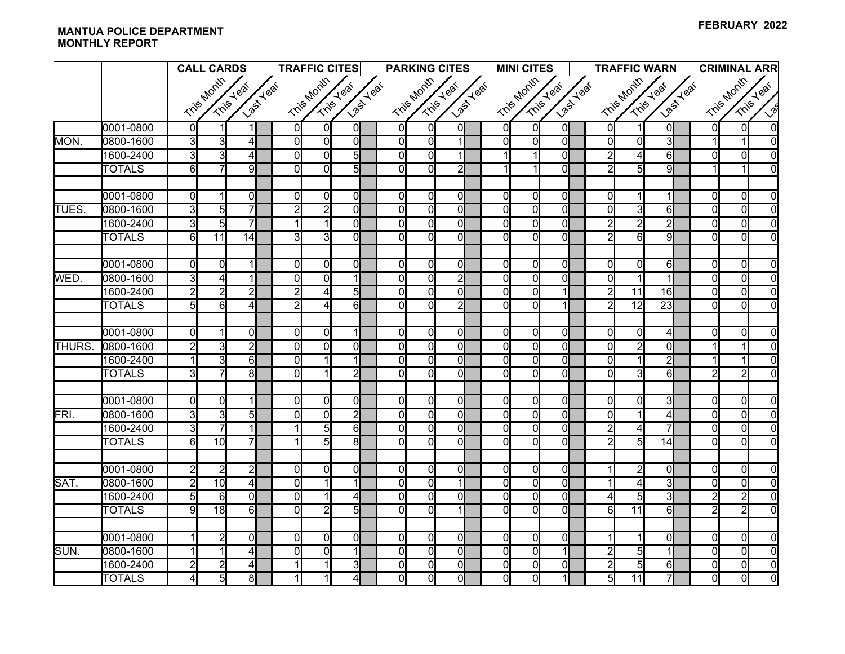|              |               | <b>CALL CARDS</b>   |                   |                                | <b>TRAFFIC CITES</b> |                |                        |  | <b>PARKING CITES</b>    |                                  |                            | <b>MINI CITES</b> |                            |                            |                                  | <b>TRAFFIC WARN</b> |                  |                 | <b>CRIMINAL ARR</b>             |                            |                         |                      |
|--------------|---------------|---------------------|-------------------|--------------------------------|----------------------|----------------|------------------------|--|-------------------------|----------------------------------|----------------------------|-------------------|----------------------------|----------------------------|----------------------------------|---------------------|------------------|-----------------|---------------------------------|----------------------------|-------------------------|----------------------|
|              |               |                     | <b>Tris Month</b> | Last Yeaf<br>Trise-Year        |                      | Tris Month     | Last Year<br>Tris Year |  |                         | Tris Month                       | Last Year<br>Tris Year     |                   | Tris Month                 |                            | Last Yeaf<br>Tris Year           |                     |                  | Tris Month      | Trisey Year<br><b>Last Yeaf</b> |                            | Tris Month<br>Tris Year |                      |
|              |               |                     |                   |                                |                      |                |                        |  |                         |                                  |                            |                   |                            |                            |                                  |                     |                  |                 |                                 |                            |                         | $\mathcal{S}$        |
|              | 0001-0800     | $\mathsf{O}$        |                   | 11                             | ΩI                   | 0l             | 01                     |  | $\overline{0}$          | $\Omega$                         | $\Omega$                   |                   | $\Omega$                   | $\Omega$                   | $\mathbf{0}$                     |                     | $\Omega$         | 11              | $\mathbf{0}$                    | $\overline{0}$             | $\Omega$                | $\Omega$             |
| MON.         | 0800-1600     | $\overline{3}$      | 3                 | $\overline{4}$                 | Οl                   | $\overline{0}$ | Οl                     |  | $\overline{0}$          | $\overline{0}$                   |                            |                   | $\overline{0}$             | $\Omega$                   | ᅁ                                |                     | $\Omega$         | $\overline{0}$  | $\overline{3}$                  |                            |                         | $\Omega$             |
|              | 1600-2400     | $\overline{3}$      | $\overline{3}$    | $\overline{4}$                 | $\Omega$             | 0l             | $5\overline{)}$        |  | $\mathbf 0$             | $\overline{0}$                   |                            |                   | 1                          |                            | $\overline{0}$                   |                     | $\overline{2}$   | $\overline{4}$  | 6                               | $\Omega$                   | $\Omega$                | $\Omega$             |
|              | <b>TOTALS</b> | $\overline{6}$      |                   | $\overline{9}$                 | $\Omega$             | ΩI             | 5                      |  | $\Omega$                | $\overline{0}$                   | $\overline{2}$             |                   |                            |                            | οI                               |                     | 2                | $\overline{5}$  | $\overline{9}$                  |                            |                         | $\Omega$             |
|              | 0001-0800     | <sub>0</sub>        |                   | $\overline{0}$                 | $\overline{0}$       | $\overline{0}$ | $\mathbf{0}$           |  | $\mathbf 0$             | $\overline{0}$                   | $\Omega$                   |                   | $\mathbf{0}$               | $\overline{0}$             | $\mathbf{0}$                     |                     | $\Omega$         |                 |                                 | $\overline{0}$             | $\Omega$                | $\Omega$             |
| <b>TUES</b>  | 0800-1600     | $\overline{3}$      | 5 <sup>1</sup>    | $\overline{7}$                 | $\overline{2}$       | $\overline{2}$ | $\Omega$               |  | $\mathbf 0$             | $\overline{0}$                   | $\overline{0}$             |                   | $\overline{0}$             | $\overline{0}$             | $\overline{0}$                   |                     | $\Omega$         | $\overline{3}$  | 6                               | $\overline{0}$             | $\overline{0}$          | $\Omega$             |
|              | 1600-2400     | G                   | 5 <sub>l</sub>    | $\overline{7}$                 |                      |                | $\Omega$               |  | $\mathbf 0$             | $\overline{0}$                   | $\overline{0}$             |                   | $\overline{0}$             | $\overline{0}$             | $\overline{0}$                   |                     | $\mathsf{2}$     | $\overline{2}$  | $\overline{2}$                  | $\overline{0}$             | $\Omega$                | $\Omega$             |
|              | <b>TOTALS</b> | $6 \overline{6}$    | $\overline{11}$   | 14                             | 3                    | 3              | $\Omega$               |  | $\Omega$                | $\overline{0}$                   | $\overline{0}$             |                   | $\overline{0}$             | $\Omega$                   | $\overline{0}$                   |                     | $\overline{2}$   | $\overline{6}$  | 9                               | $\Omega$                   | $\Omega$                | $\Omega$             |
|              | 0001-0800     | $\overline{0}$      | $\Omega$          | $\vert$                        | $\overline{0}$       | 0l             | $\Omega$               |  | $\overline{0}$          | $\overline{0}$                   | $\overline{0}$             |                   | $\mathbf{0}$               | $\overline{0}$             | $\overline{0}$                   |                     | $\overline{0}$   | $\overline{0}$  | $6 \overline{6}$                | $\overline{0}$             | $\Omega$                | $\Omega$             |
| WED.         | 0800-1600     | $\overline{3}$      |                   | $\mathbf{1}$                   | $\Omega$             | ΩI             |                        |  | $\overline{0}$          | $\Omega$                         | $\overline{2}$             |                   | $\mathbf{0}$               | $\Omega$                   | $\mathbf{0}$                     |                     | $\Omega$         | 1               | $\mathbf{1}$                    | $\Omega$                   | $\Omega$                | $\Omega$             |
|              | 1600-2400     | $\overline{2}$      | $\overline{2}$    | $\overline{2}$                 | $\overline{2}$       | 41             | 5                      |  | $\overline{0}$          | $\overline{0}$                   | $\overline{0}$             |                   | $\overline{0}$             | $\Omega$                   |                                  |                     | $\overline{2}$   | 11              | 16                              | $\Omega$                   | $\Omega$                | $\overline{0}$       |
|              | <b>TOTALS</b> | 5                   | $6 \mid$          | $\overline{4}$                 | $\overline{2}$       | $\overline{4}$ | $6\overline{6}$        |  | $\Omega$                | $\overline{0}$                   | $\overline{2}$             |                   | $\Omega$                   | ΩI                         | 1                                |                     | $\overline{2}$   | $\overline{12}$ | 23                              | $\Omega$                   | $\Omega$                | $\Omega$             |
|              |               |                     |                   |                                |                      |                |                        |  |                         |                                  |                            |                   |                            |                            |                                  |                     |                  |                 |                                 |                            |                         |                      |
|              | 0001-0800     | 0l                  |                   | ol                             | $\Omega$             | ΩI             |                        |  | 0                       | $\Omega$                         | $\Omega$                   |                   | 0l                         | $\Omega$                   | 0l                               |                     | $\Omega$         | Οl              | 4                               | $\Omega$                   | $\Omega$                | $\Omega$             |
| <b>THURS</b> | 0800-1600     | $\overline{2}$      | $\overline{3}$    | $\overline{2}$                 | $\Omega$             | ΩI             | $\Omega$               |  | $\Omega$                | $\overline{0}$                   | $\overline{0}$             |                   | $\overline{0}$             | $\Omega$                   | $\overline{0}$                   |                     | $\Omega$         | $\overline{2}$  | ΩI                              |                            |                         | $\Omega$             |
|              | 1600-2400     |                     | 3                 | 6                              | $\Omega$             |                |                        |  | $\Omega$                | $\overline{0}$                   | $\overline{0}$             |                   | $\overline{0}$             | $\Omega$                   | οl                               |                     | 0l               |                 | $\overline{2}$                  |                            | 1                       | $\Omega$             |
|              | <b>TOTALS</b> | $\overline{3}$      |                   | 8 <sup>1</sup>                 | ΩI                   |                | $\overline{2}$         |  | $\Omega$                | $\overline{0}$                   | $\overline{0}$             |                   | 0                          | $\Omega$                   | 0l                               |                     | ΩI               | 31              | $6 \mid$                        | $\overline{2}$             | $\overline{2}$          | $\Omega$             |
|              |               |                     |                   |                                |                      |                |                        |  |                         |                                  |                            |                   |                            |                            |                                  |                     |                  |                 |                                 |                            |                         |                      |
|              | 0001-0800     | $\Omega$            | $\Omega$          | $\mathbf 1$                    | ΩI                   | 0l             | $\Omega$               |  | $\Omega$                | $\overline{0}$                   | $\overline{0}$             |                   | $\Omega$                   | $\Omega$                   | $\overline{0}$                   |                     | $\Omega$         | <sub>0</sub>    | $\overline{3}$                  | $\Omega$                   | $\Omega$                | $\Omega$             |
| FRI.         | 0800-1600     | $\overline{3}$      | $\overline{3}$    | $\overline{5}$                 | ΩI                   | 0l             | $\overline{2}$         |  | 0                       | $\overline{0}$                   | $\overline{0}$             |                   | $\overline{0}$             | $\Omega$                   | $\overline{0}$                   |                     | $\Omega$         |                 | 4                               | $\Omega$                   | $\Omega$                | $\Omega$             |
|              | 1600-2400     | $\overline{3}$<br>6 | $\overline{10}$   | $\mathbf{1}$<br>$\overline{7}$ |                      | $5 \mid$       | $6 \mid$               |  | $\mathbf 0$<br>$\Omega$ | $\overline{0}$<br>$\overline{0}$ | $\overline{0}$<br>$\Omega$ |                   | $\overline{0}$<br>$\Omega$ | $\overline{0}$<br>$\Omega$ | $\overline{0}$<br>$\overline{0}$ |                     | $\overline{2}$   | 4               |                                 | $\overline{0}$<br>$\Omega$ | $\Omega$<br>$\Omega$    | $\Omega$<br>$\Omega$ |
|              | <b>TOTALS</b> |                     |                   |                                |                      | 5 <sup>1</sup> | 81                     |  |                         |                                  |                            |                   |                            |                            |                                  |                     | $\overline{2}$   | $\overline{5}$  | 14                              |                            |                         |                      |
|              | 0001-0800     | $\overline{2}$      | $\overline{2}$    | $\overline{2}$                 | $\Omega$             | 0l             | $\Omega$               |  | $\overline{0}$          | $\overline{0}$                   | $\overline{0}$             |                   | $\overline{0}$             | $\overline{0}$             | ol                               |                     |                  | $\overline{2}$  | $\overline{0}$                  | $\overline{0}$             | $\Omega$                | $\Omega$             |
| SAT.         | 0800-1600     | $\overline{2}$      | 10                | $\overline{4}$                 | ΩI                   |                |                        |  | 0                       | $\overline{0}$                   |                            |                   | $\overline{0}$             | $\overline{0}$             | $\overline{0}$                   |                     |                  | 4               | 3                               | $\overline{0}$             | $\Omega$                | $\Omega$             |
|              | 1600-2400     | 5                   | 6                 | 0l                             | $\Omega$             |                | 4                      |  | $\Omega$                | $\overline{0}$                   | $\overline{0}$             |                   | 0l                         | $\Omega$                   | $\mathbf{0}$                     |                     | 4                | $5\overline{)}$ | 3                               | 2                          | $\overline{2}$          | $\Omega$             |
|              | <b>TOTALS</b> | 9                   | 18                | $\overline{6}$                 | $\overline{0}$       | $\overline{2}$ | $\overline{5}$         |  | $\overline{0}$          | $\overline{0}$                   | $\overline{1}$             |                   | $\Omega$                   | $\Omega$                   | $\overline{0}$                   |                     | $6 \overline{6}$ | $\overline{11}$ | 6                               | $\overline{2}$             | $\overline{2}$          | $\Omega$             |
|              |               |                     |                   |                                |                      |                |                        |  |                         |                                  |                            |                   |                            |                            |                                  |                     |                  |                 |                                 |                            |                         |                      |
|              | 0001-0800     |                     | $\overline{2}$    | $\overline{0}$                 | ΩI                   | ΩI             | $\Omega$               |  | $\Omega$                | 0                                | $\overline{0}$             |                   | $\mathbf{0}$               | $\overline{0}$             | $\mathbf{0}$                     |                     |                  |                 | 0                               | $\Omega$                   | $\Omega$                | $\Omega$             |
| SUN.         | 0800-1600     |                     |                   | $\overline{4}$                 | $\Omega$             | 0              |                        |  | $\Omega$                | $\overline{0}$                   | $\overline{0}$             |                   | $\overline{0}$             | $\Omega$                   | 1                                |                     | 2                | 5               |                                 | $\overline{0}$             | $\Omega$                | $\Omega$             |
|              | 1600-2400     | $\overline{2}$      | $\overline{2}$    | $\overline{4}$                 |                      |                | $\overline{3}$         |  | $\mathbf 0$             | $\overline{0}$                   | $\overline{0}$             |                   | $\overline{0}$             | $\overline{0}$             | $\overline{0}$                   |                     | $\overline{2}$   | $\overline{5}$  | 6                               | $\mathbf 0$                | $\overline{0}$          | $\overline{0}$       |
|              | <b>TOTALS</b> | $\overline{4}$      | $\overline{5}$    | $\overline{8}$                 |                      | 11             | $\overline{4}$         |  | $\overline{0}$          | $\overline{0}$                   | $\overline{0}$             |                   | $\overline{0}$             | $\overline{0}$             | $\mathbf{1}$                     |                     | $\overline{5}$   | 11              | 7                               | $\overline{0}$             | $\overline{0}$          | $\overline{0}$       |